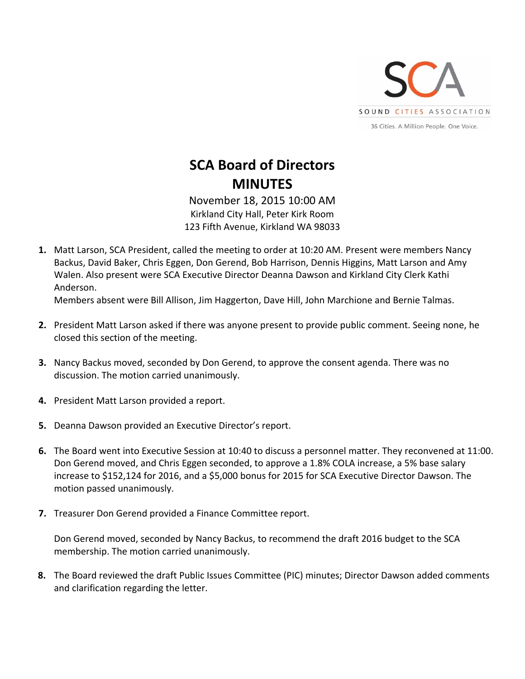

## **SCA Board of Directors MINUTES**

November 18, 2015 10:00 AM Kirkland City Hall, Peter Kirk Room 123 Fifth Avenue, Kirkland WA 98033

**1.** Matt Larson, SCA President, called the meeting to order at 10:20 AM. Present were members Nancy Backus, David Baker, Chris Eggen, Don Gerend, Bob Harrison, Dennis Higgins, Matt Larson and Amy Walen. Also present were SCA Executive Director Deanna Dawson and Kirkland City Clerk Kathi Anderson.

Members absent were Bill Allison, Jim Haggerton, Dave Hill, John Marchione and Bernie Talmas.

- **2.** President Matt Larson asked if there was anyone present to provide public comment. Seeing none, he closed this section of the meeting.
- **3.** Nancy Backus moved, seconded by Don Gerend, to approve the consent agenda. There was no discussion. The motion carried unanimously.
- **4.** President Matt Larson provided a report.
- **5.** Deanna Dawson provided an Executive Director's report.
- **6.** The Board went into Executive Session at 10:40 to discuss a personnel matter. They reconvened at 11:00. Don Gerend moved, and Chris Eggen seconded, to approve a 1.8% COLA increase, a 5% base salary increase to \$152,124 for 2016, and a \$5,000 bonus for 2015 for SCA Executive Director Dawson. The motion passed unanimously.
- **7.** Treasurer Don Gerend provided a Finance Committee report.

Don Gerend moved, seconded by Nancy Backus, to recommend the draft 2016 budget to the SCA membership. The motion carried unanimously.

**8.** The Board reviewed the draft Public Issues Committee (PIC) minutes; Director Dawson added comments and clarification regarding the letter.